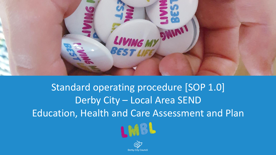

## Standard operating procedure [SOP 1.0] Derby City – Local Area SEND Education, Health and Care Assessment and Plan



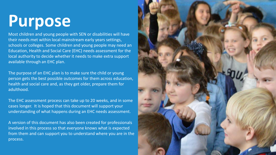# **Purpose**

Most children and young people with SEN or disabilities will have their needs met within local mainstream early years settings, schools or colleges. Some children and young people may need an Education, Health and Social Care (EHC) needs assessment for the local authority to decide whether it needs to make extra support available through an EHC plan.

The purpose of an EHC plan is to make sure the child or young<br>person gets the best possible outcomes for them across educa<sup>.</sup> person gets the best possible outcomes for them across education, health and social care and, as they get older, prepare them for adulthood.

The EHC assessment process can take up to 20 weeks, and in some cases longer. It is hoped that this document will support your understanding of what happens during an EHC needs assessment.

A version of this document has also been created for professionals involved in this process so that everyone knows what is expected from them and can support you to understand where you are in the process.

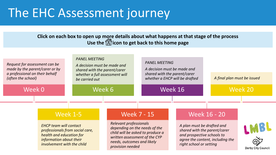## <span id="page-2-0"></span>The EHC Assessment journey

**Click on each box to open up more details about what happens at that stage of the process Use theicon to get back to this home page**

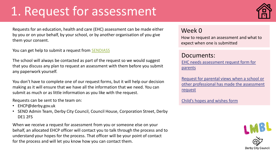## <span id="page-3-0"></span>1. Request for assessment



Requests for an education, health and care (EHC) assessment can be made either by you or on your behalf, by your school, or by another organisation of you give them your consent.

You can get help to submit a request from **[SENDIASS](https://derbysendiass.org.uk/)** 

The school will always be contacted as part of the request so we would suggest that you discuss any plan to request an assessment with them before you submit any paperwork yourself.

You don't have to complete one of our request forms, but it will help our decision making as it will ensure that we have all the information that we need. You can submit as much or as little information as you like with the request.

Requests can be sent to the team on:

- EHCP@derby.gov.uk
- SEND Admin Team, Derby City Council, Council House, Corporation Street, Derby DE1 2FS

When we receive a request for assessment from you or someone else on your behalf, an allocated EHCP officer will contact you to talk through the process and to understand your hopes for the process. That officer will be your point of contact for the process and will let you know how you can contact them.

### Week 0

How to request an assessment and what to expect when one is submitted

### Documents:

[EHC needs assessment request form for](https://www.derby.gov.uk/media/derbycitycouncil/contentassets/documents/sendlocaloffer/Parents-Request-for-EHC-Needs-Assessment(AMENDED).docx)  parents

Request for parental views when a school or [other professional has made the assessment](https://schoolsportal.derby.gov.uk/media/schoolsinformationportal/contentassets/documents/specialeducationalneeds/sendhandbook/family-views-form-for-ehcn-assessment.docx)  request

[Child's hopes and wishes form](https://schoolsportal.derby.gov.uk/media/schoolsinformationportal/contentassets/documents/specialeducationalneeds/sendhandbook/child-young-persons-views-for-ehc-needs-assessment.docx)



**Derby City Council**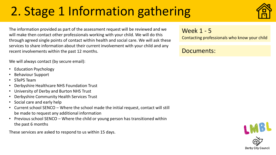## <span id="page-4-0"></span>2. Stage 1 Information gathering



The information provided as part of the assessment request will be reviewed and we will make then contact other professionals working with your child. We will do this through agreed single points of contact within health and social care. We will ask these services to share information about their current involvement with your child and any recent involvements within the past 12 months.

We will always contact (by secure email):

- Education Psychology
- Behaviour Support
- STePS Team
- Derbyshire Healthcare NHS Foundation Trust
- University of Derby and Burton NHS Trust
- Derbyshire Community Health Services Trust
- Social care and early help
- Current school SENCO Where the school made the initial request, contact will still be made to request any additional information
- Previous school SENCO Where the child or young person has transitioned within the past 6 months

These services are asked to respond to us within 15 days.

Week 1 - 5

Contacting professionals who know your child

Documents:

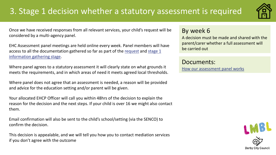## <span id="page-5-0"></span>3. Stage 1 decision whether a statutory assessment is required



Once we have received responses from all relevant services, your child's request will be considered by a multi-agency panel.

EHC Assessment panel meetings are held online every week. Panel members will have [access to all the documentation gathered so far as part of the request](#page-4-0) and stage 1 information gathering stage.

Where panel agrees to a statutory assessment it will clearly state on what grounds it meets the requirements, and in which areas of need it meets agreed local thresholds.

Where panel does not agree that an assessment is needed, a reason will be provided and advice for the education setting and/or parent will be given.

Your allocated EHCP Officer will call you within 48hrs of the decision to explain the reason for the decision and the next steps. If your child is over 16 we might also contact them.

Email confirmation will also be sent to the child's school/setting (via the SENCO) to confirm the decision.

This decision is appealable, and we will tell you how you to contact mediation services if you don't agree with the outcome

### By week 6

A decision must be made and shared with the parent/carer whether a full assessment will be carried out

Documents: [How our assessment panel works](https://www.derby.gov.uk/media/derbycitycouncil/contentassets/documents/sendlocaloffer/ehc-assessment-panel-tor.pdf)

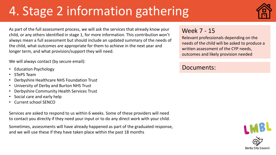## <span id="page-6-0"></span>4. Stage 2 information gathering



As part of the full assessment process, we will ask the services that already know your child, or any others identified in stage 1, for more information. This contribution won't always mean a full assessment but should include an updated summary of the needs of the child, what outcomes are appropriate for them to achieve in the next year and longer term, and what provision/support they will need.

We will always contact (by secure email):

- Education Psychology
- STePS Team
- Derbyshire Healthcare NHS Foundation Trust
- University of Derby and Burton NHS Trust
- Derbyshire Community Health Services Trust
- Social care and early help
- Current school SENCO

Services are asked to respond to us within 6 weeks. Some of these providers will need to contact you directly if they need your input or to do any direct work with your child.

Sometimes, assessments will have already happened as part of the graduated response, and we will use these if they have taken place within the past 18 months

### Week 7 - 15

Relevant professionals depending on the needs of the child will be asked to produce a written assessment of the CYP needs, outcomes and likely provision needed

### Documents:

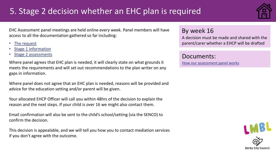## <span id="page-7-0"></span>5. Stage 2 decision whether an EHC plan is required



EHC Assessment panel meetings are held online every week. Panel members will have access to all the documentation gathered so far including:

- [The request](#page-3-0)
- [Stage 1 information](#page-4-0)
- [Stage 2 assessments](#page-6-0)

Where panel agrees that EHC plan is needed, it will clearly state on what grounds it meets the requirements and will set out recommendations to the plan writer on any gaps in information.

Where panel does not agree that an EHC plan is needed, reasons will be provided and advice for the education setting and/or parent will be given.

Your allocated EHCP Officer will call you within 48hrs of the decision to explain the reason and the next steps. If your child is over 16 we might also contact them.

Email confirmation will also be sent to the child's school/setting (via the SENCO) to confirm the decision.

This decision is appealable, and we will tell you how you to contact mediation services if you don't agree with the outcome.

### By week 16

A decision must be made and shared with the parent/carer whether a EHCP will be drafted

Documents:

[How our assessment panel works](https://www.derby.gov.uk/media/derbycitycouncil/contentassets/documents/sendlocaloffer/ehc-assessment-panel-tor.pdf)

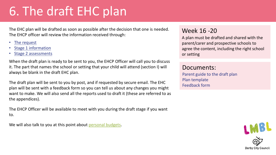## <span id="page-8-0"></span>6. The draft EHC plan

The EHC plan will be drafted as soon as possible after the decision that one is needed. The EHCP officer will review the information received through:

- [The request](#page-3-0)
- [Stage 1 information](#page-4-0)
- [Stage 2 assessments](#page-6-0)

When the draft plan is ready to be sent to you, the EHCP Officer will call you to discuss it. The part that names the school or setting that your child will attend (section I) will always be blank in the draft EHC plan.

The draft plan will be sent to you by post, and if requested by secure email. The EHC plan will be sent with a feedback form so you can tell us about any changes you might want to make. We will also send all the reports used to draft it (these are referred to as the appendices).

The EHCP Officer will be available to meet with you during the draft stage if you want to.

We will also talk to you at this point about [personal budgets](https://www.derby.gov.uk/education-and-learning/derbys-send-local-offer/ehc-assessments-plans/).

### Week 16 -20

A plan must be drafted and shared with the parent/carer and prospective schools to agree the content, including the right school or setting

### Documents:

Parent guide to the draft plan Plan template Feedback form

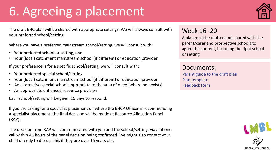## 6. Agreeing a placement



The draft EHC plan will be shared with appropriate settings. We will always consult with your preferred school/setting.

Where you have a preferred mainstream school/setting, we will consult with:

- Your preferred school or setting, and
- Your (local) catchment mainstream school (if different) or education provider

If your preference is for a specific school/setting, we will consult with:

- Your preferred special school/setting
- Your (local) catchment mainstream school (if different) or education provider
- An alternative special school appropriate to the area of need (where one exists)
- An appropriate enhanced resource provision

Each school/setting will be given 15 days to respond.

If you are asking for a specialist placement or, where the EHCP Officer is recommending a specialist placement, the final decision will be made at Resource Allocation Panel (RAP).

The decision from RAP will communicated with you and the school/setting, via a phone call within 48 hours of the panel decision being confirmed. We might also contact your child directly to discuss this if they are over 16 years old.

### Week 16 -20

A plan must be drafted and shared with the parent/carer and prospective schools to agree the content, including the right school or setting

### Documents:

Parent guide to the draft plan Plan template Feedback form

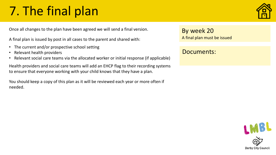## <span id="page-10-0"></span>7. The final plan

Once all changes to the plan have been agreed we will send a final version.

A final plan is issued by post in all cases to the parent and shared with:

- The current and/or prospective school setting
- Relevant health providers
- Relevant social care teams via the allocated worker or initial response (if applicable)

Health providers and social care teams will add an EHCP flag to their recording systems to ensure that everyone working with your child knows that they have a plan.

You should keep a copy of this plan as it will be reviewed each year or more often if needed.

By week 20 A final plan must be issued

### Documents: